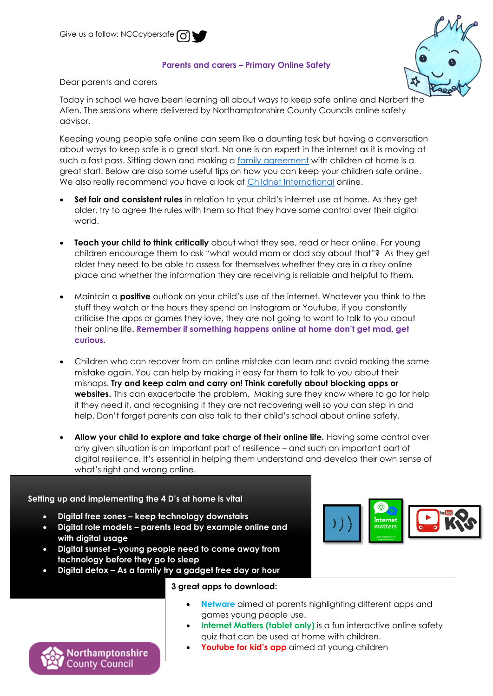## **Parents and carers – Primary Online Safety**



Dear parents and carers

Today in school we have been learning all about ways to keep safe online and Norbert the Alien. The sessions where delivered by Northamptonshire County Councils online safety advisor.

Keeping young people safe online can seem like a daunting task but having a conversation about ways to keep safe is a great start. No one is an expert in the internet as it is moving at such a fast pass. Sitting down and making a [family agreement](https://www.childnet.com/resources/family-agreement) with children at home is a great start. Below are also some useful tips on how you can keep your children safe online. We also really recommend you have a look at *Childnet International* online.

- **Set fair and consistent rules** in relation to your child's internet use at home. As they get older, try to agree the rules with them so that they have some control over their digital world.
- **Teach your child to think critically** about what they see, read or hear online. For young children encourage them to ask "what would mom or dad say about that"? As they get older they need to be able to assess for themselves whether they are in a risky online place and whether the information they are receiving is reliable and helpful to them.
- Maintain a **positive** outlook on your child's use of the internet. Whatever you think to the stuff they watch or the hours they spend on Instagram or Youtube, if you constantly criticise the apps or games they love, they are not going to want to talk to you about their online life. **Remember if something happens online at home don't get mad, get curious.**
- Children who can recover from an online mistake can learn and avoid making the same mistake again. You can help by making it easy for them to talk to you about their mishaps. **Try and keep calm and carry on! Think carefully about blocking apps or websites.** This can exacerbate the problem. Making sure they know where to go for help if they need it, and recognising if they are not recovering well so you can step in and help. Don't forget parents can also talk to their child's school about online safety.
- **Allow your child to explore and take charge of their online life.** Having some control over any given situation is an important part of resilience – and such an important part of digital resilience. It's essential in helping them understand and develop their own sense of what's right and wrong online.

**Setting up and implementing the 4 D's at home is vital**

Northamptonshire **County Council** 

- **Digital free zones – keep technology downstairs**
- **Digital role models – parents lead by example online and with digital usage**
- **Digital sunset – young people need to come away from technology before they go to sleep**
- **Digital detox – As a family try a gadget free day or hour**



## **3 great apps to download:**

- **Netware** aimed at parents highlighting different apps and games young people use.
- **Internet Matters (tablet only)** is a fun interactive online safety quiz that can be used at home with children.
- **Youtube for kid's app** aimed at young children